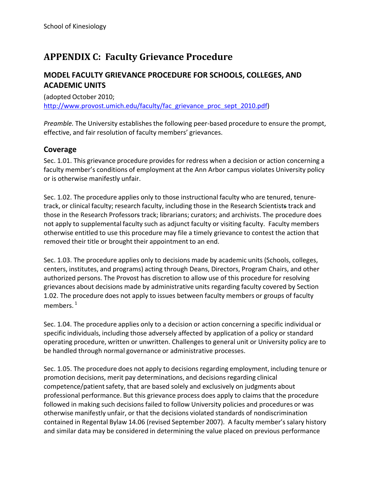# **APPENDIX C: Faculty Grievance Procedure**

# **MODEL FACULTY GRIEVANCE PROCEDURE FOR SCHOOLS, COLLEGES, AND ACADEMIC UNITS**

(adopted October 2010; [http://www.provost.umich.edu/faculty/fac\\_grievance\\_proc\\_sept\\_2010.pdf\)](http://www.provost.umich.edu/faculty/fac_grievance_proc_sept_2010.pdf)

*Preamble*. The University establishes the following peer-based procedure to ensure the prompt, effective, and fair resolution of faculty members' grievances.

### **Coverage**

Sec. 1.01. This grievance procedure provides for redress when a decision or action concerning a faculty member's conditions of employment at the Ann Arbor campus violates University policy or is otherwise manifestly unfair.

Sec. 1.02. The procedure applies only to those instructional faculty who are tenured, tenure‐ track, or clinical faculty; research faculty, including those in the Research Scientists track and those in the Research Professors track; librarians; curators; and archivists. The procedure does not apply to supplemental faculty such as adjunct faculty or visiting faculty. Faculty members otherwise entitled to use this procedure may file a timely grievance to contest the action that removed their title or brought their appointment to an end.

Sec. 1.03. The procedure applies only to decisions made by academic units (Schools, colleges, centers, institutes, and programs) acting through Deans, Directors, Program Chairs, and other authorized persons. The Provost has discretion to allow use of this procedure for resolving grievances about decisions made by administrative units regarding faculty covered by Section 1.02. The procedure does not apply to issues between faculty members or groups of faculty members.<sup>1</sup>

Sec. 1.04. The procedure applies only to a decision or action concerning a specific individual or specific individuals, including those adversely affected by application of a policy or standard operating procedure, written or unwritten. Challengesto general unit or University policy are to be handled through normal governance or administrative processes.

Sec. 1.05. The procedure does not apply to decisions regarding employment, including tenure or promotion decisions, merit pay determinations, and decisions regarding clinical competence/patient safety, that are based solely and exclusively on judgments about professional performance. But this grievance process does apply to claims that the procedure followed in making such decisions failed to follow University policies and procedures or was otherwise manifestly unfair, or that the decisions violated standards of nondiscrimination contained in Regental Bylaw 14.06 (revised September 2007). A faculty member'ssalary history and similar data may be considered in determining the value placed on previous performance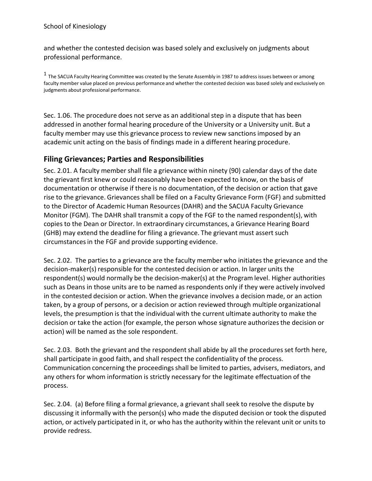and whether the contested decision was based solely and exclusively on judgments about professional performance.

<sup>1</sup> The SACUA Faculty Hearing Committee was created by the Senate Assembly in 1987 to address issues between or among faculty member value placed on previous performance and whether the contested decision was based solely and exclusively on judgments about professional performance.

Sec. 1.06. The procedure does not serve as an additional step in a dispute that has been addressed in another formal hearing procedure of the University or a University unit. But a faculty member may use this grievance process to review new sanctions imposed by an academic unit acting on the basis of findings made in a different hearing procedure.

#### **Filing Grievances; Parties and Responsibilities**

Sec. 2.01. A faculty member shall file a grievance within ninety (90) calendar days of the date the grievant first knew or could reasonably have been expected to know, on the basis of documentation or otherwise if there is no documentation, of the decision or action that gave rise to the grievance. Grievances shall be filed on a Faculty Grievance Form (FGF) and submitted to the Director of Academic Human Resources(DAHR) and the SACUA Faculty Grievance Monitor (FGM). The DAHR shall transmit a copy of the FGF to the named respondent(s), with copies to the Dean or Director. In extraordinary circumstances, a Grievance Hearing Board (GHB) may extend the deadline for filing a grievance. The grievant must assert such circumstancesin the FGF and provide supporting evidence.

Sec. 2.02. The parties to a grievance are the faculty member who initiates the grievance and the decision‐maker(s) responsible for the contested decision or action. In larger units the respondent(s) would normally be the decision-maker(s) at the Program level. Higher authorities such as Deans in those units are to be named as respondents only if they were actively involved in the contested decision or action. When the grievance involves a decision made, or an action taken, by a group of persons, or a decision or action reviewed through multiple organizational levels, the presumption is that the individual with the current ultimate authority to make the decision or take the action (for example, the person whose signature authorizes the decision or action) will be named as the sole respondent.

Sec. 2.03. Both the grievant and the respondent shall abide by all the procedures set forth here, shall participate in good faith, and shall respect the confidentiality of the process. Communication concerning the proceedings shall be limited to parties, advisers, mediators, and any others for whom information is strictly necessary for the legitimate effectuation of the process.

Sec. 2.04. (a) Before filing a formal grievance, a grievant shall seek to resolve the dispute by discussing it informally with the person(s) who made the disputed decision or took the disputed action, or actively participated in it, or who has the authority within the relevant unit or units to provide redress.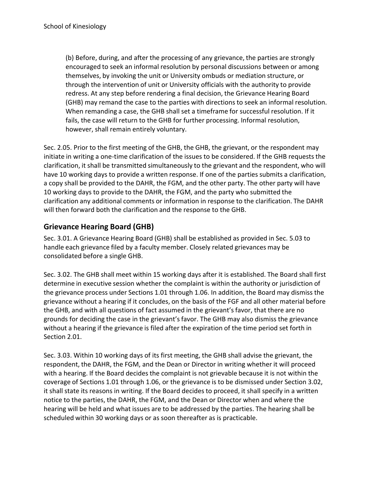(b) Before, during, and after the processing of any grievance, the parties are strongly encouraged to seek an informal resolution by personal discussions between or among themselves, by invoking the unit or University ombuds or mediation structure, or through the intervention of unit or University officials with the authority to provide redress. At any step before rendering a final decision, the Grievance Hearing Board (GHB) may remand the case to the parties with directions to seek an informal resolution. When remanding a case, the GHB shall set a timeframe for successful resolution. If it fails, the case will return to the GHB for further processing. Informal resolution, however, shall remain entirely voluntary.

Sec. 2.05. Prior to the first meeting of the GHB, the GHB, the grievant, or the respondent may initiate in writing a one-time clarification of the issues to be considered. If the GHB requests the clarification, it shall be transmitted simultaneously to the grievant and the respondent, who will have 10 working days to provide a written response. If one of the parties submits a clarification, a copy shall be provided to the DAHR, the FGM, and the other party. The other party will have 10 working days to provide to the DAHR, the FGM, and the party who submitted the clarification any additional comments or information in response to the clarification. The DAHR will then forward both the clarification and the response to the GHB.

# **Grievance Hearing Board (GHB)**

Sec. 3.01. A Grievance Hearing Board (GHB) shall be established as provided in Sec. 5.03 to handle each grievance filed by a faculty member. Closely related grievances may be consolidated before a single GHB.

Sec. 3.02. The GHB shall meet within 15 working days after it is established. The Board shall first determine in executive session whether the complaint is within the authority or jurisdiction of the grievance process under Sections 1.01 through 1.06. In addition, the Board may dismiss the grievance without a hearing if it concludes, on the basis of the FGF and all other material before the GHB, and with all questions of fact assumed in the grievant's favor, that there are no grounds for deciding the case in the grievant'sfavor. The GHB may also dismiss the grievance without a hearing if the grievance is filed after the expiration of the time period set forth in Section 2.01.

Sec. 3.03. Within 10 working days of its first meeting, the GHB shall advise the grievant, the respondent, the DAHR, the FGM, and the Dean or Director in writing whether it will proceed with a hearing. If the Board decides the complaint is not grievable because it is not within the coverage of Sections 1.01 through 1.06, or the grievance is to be dismissed under Section 3.02, it shall state its reasons in writing. If the Board decides to proceed, it shall specify in a written notice to the parties, the DAHR, the FGM, and the Dean or Director when and where the hearing will be held and what issues are to be addressed by the parties. The hearing shall be scheduled within 30 working days or as soon thereafter as is practicable.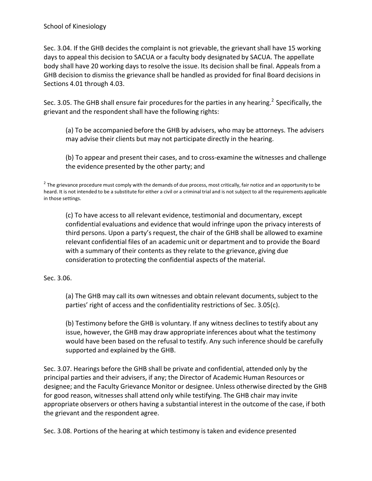Sec. 3.04. If the GHB decides the complaint is not grievable, the grievantshall have 15 working days to appeal this decision to SACUA or a faculty body designated by SACUA. The appellate body shall have 20 working days to resolve the issue. Its decision shall be final. Appeals from a GHB decision to dismiss the grievance shall be handled as provided for final Board decisions in Sections 4.01 through 4.03.

Sec. 3.05. The GHB shall ensure fair procedures for the parties in any hearing.<sup>2</sup> Specifically, the grievant and the respondent shall have the following rights:

(a) To be accompanied before the GHB by advisers, who may be attorneys. The advisers may advise their clients but may not participate directly in the hearing.

(b) To appear and present their cases, and to cross‐examine the witnesses and challenge the evidence presented by the other party; and

 $2$  The grievance procedure must comply with the demands of due process, most critically, fair notice and an opportunity to be heard. It is not intended to be a substitute for either a civil or a criminal trial and is not subject to all the requirements applicable in those settings.

(c) To have access to all relevant evidence, testimonial and documentary, except confidential evaluations and evidence that would infringe upon the privacy interests of third persons. Upon a party's request, the chair of the GHB shall be allowed to examine relevant confidential files of an academic unit or department and to provide the Board with a summary of their contents as they relate to the grievance, giving due consideration to protecting the confidential aspects of the material.

Sec. 3.06.

(a) The GHB may call its own witnesses and obtain relevant documents,subject to the parties' right of access and the confidentiality restrictions of Sec. 3.05(c).

(b) Testimony before the GHB is voluntary. If any witness declinesto testify about any issue, however, the GHB may draw appropriate inferences about what the testimony would have been based on the refusal to testify. Any such inference should be carefully supported and explained by the GHB.

Sec. 3.07. Hearings before the GHB shall be private and confidential, attended only by the principal parties and their advisers, if any; the Director of Academic Human Resources or designee; and the Faculty Grievance Monitor or designee. Unless otherwise directed by the GHB for good reason, witnesses shall attend only while testifying. The GHB chair may invite appropriate observers or others having a substantial interest in the outcome of the case, if both the grievant and the respondent agree.

Sec. 3.08. Portions of the hearing at which testimony is taken and evidence presented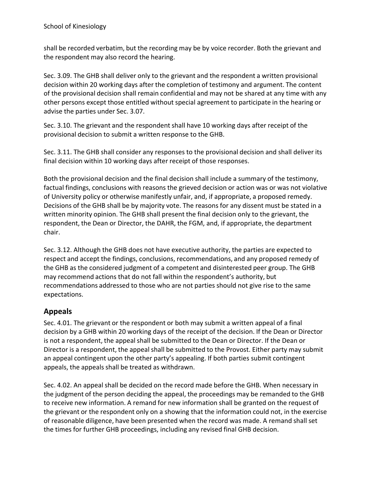shall be recorded verbatim, but the recording may be by voice recorder. Both the grievant and the respondent may also record the hearing.

Sec. 3.09. The GHB shall deliver only to the grievant and the respondent a written provisional decision within 20 working days after the completion of testimony and argument. The content of the provisional decision shall remain confidential and may not be shared at any time with any other persons except those entitled without special agreement to participate in the hearing or advise the parties under Sec. 3.07.

Sec. 3.10. The grievant and the respondent shall have 10 working days after receipt of the provisional decision to submit a written response to the GHB.

Sec. 3.11. The GHB shall consider any responses to the provisional decision and shall deliver its final decision within 10 working days after receipt of those responses.

Both the provisional decision and the final decision shall include a summary of the testimony, factual findings, conclusions with reasons the grieved decision or action was or was not violative of University policy or otherwise manifestly unfair, and, if appropriate, a proposed remedy. Decisions of the GHB shall be by majority vote. The reasons for any dissent must be stated in a written minority opinion. The GHB shall present the final decision only to the grievant, the respondent, the Dean or Director, the DAHR, the FGM, and, if appropriate, the department chair.

Sec. 3.12. Although the GHB does not have executive authority, the parties are expected to respect and accept the findings, conclusions, recommendations, and any proposed remedy of the GHB as the considered judgment of a competent and disinterested peer group. The GHB may recommend actions that do not fall within the respondent's authority, but recommendations addressed to those who are not parties should not give rise to the same expectations.

# **Appeals**

Sec. 4.01. The grievant or the respondent or both may submit a written appeal of a final decision by a GHB within 20 working days of the receipt of the decision. If the Dean or Director is not a respondent, the appeal shall be submitted to the Dean or Director. If the Dean or Director is a respondent, the appeal shall be submitted to the Provost. Either party may submit an appeal contingent upon the other party's appealing. If both parties submit contingent appeals, the appeals shall be treated as withdrawn.

Sec. 4.02. An appeal shall be decided on the record made before the GHB. When necessary in the judgment of the person deciding the appeal, the proceedings may be remanded to the GHB to receive new information. A remand for new information shall be granted on the request of the grievant or the respondent only on a showing that the information could not, in the exercise of reasonable diligence, have been presented when the record was made. A remand shall set the times for further GHB proceedings, including any revised final GHB decision.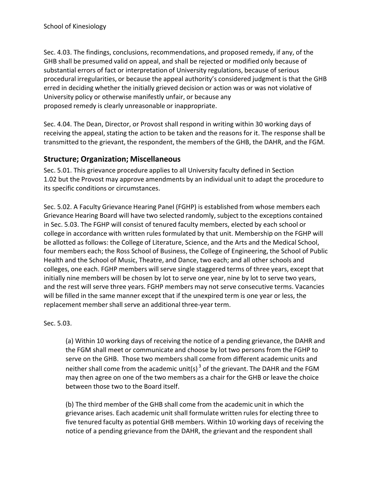Sec. 4.03. The findings, conclusions, recommendations, and proposed remedy, if any, of the GHB shall be presumed valid on appeal, and shall be rejected or modified only because of substantial errors of fact or interpretation of University regulations, because of serious procedural irregularities, or because the appeal authority's considered judgment is that the GHB erred in deciding whether the initially grieved decision or action was or was not violative of University policy or otherwise manifestly unfair, or because any proposed remedy is clearly unreasonable or inappropriate.

Sec. 4.04. The Dean, Director, or Provost shall respond in writing within 30 working days of receiving the appeal, stating the action to be taken and the reasons for it. The response shall be transmitted to the grievant, the respondent, the members of the GHB, the DAHR, and the FGM.

# **Structure; Organization; Miscellaneous**

Sec. 5.01. This grievance procedure applies to all University faculty defined in Section 1.02 but the Provost may approve amendments by an individual unit to adapt the procedure to its specific conditions or circumstances.

Sec. 5.02. A Faculty Grievance Hearing Panel (FGHP) is established from whose members each Grievance Hearing Board will have two selected randomly, subject to the exceptions contained in Sec. 5.03. The FGHP will consist of tenured faculty members, elected by each school or college in accordance with written rules formulated by that unit. Membership on the FGHP will be allotted as follows: the College of Literature, Science, and the Arts and the Medical School, four members each; the Ross School of Business, the College of Engineering, the School of Public Health and the School of Music, Theatre, and Dance, two each; and all other schools and colleges, one each. FGHP members will serve single staggered terms of three years, except that initially nine members will be chosen by lot to serve one year, nine by lot to serve two years, and the rest will serve three years. FGHP members may not serve consecutive terms. Vacancies will be filled in the same manner except that if the unexpired term is one year or less, the replacement member shall serve an additional three-year term.

Sec. 5.03.

(a) Within 10 working days of receiving the notice of a pending grievance, the DAHR and the FGM shall meet or communicate and choose by lot two persons from the FGHP to serve on the GHB. Those two members shall come from different academic units and neither shall come from the academic unit(s)<sup>3</sup> of the grievant. The DAHR and the FGM may then agree on one of the two members as a chair for the GHB or leave the choice between those two to the Board itself.

(b) The third member of the GHB shall come from the academic unit in which the grievance arises. Each academic unit shall formulate written rules for electing three to five tenured faculty as potential GHB members. Within 10 working days of receiving the notice of a pending grievance from the DAHR, the grievant and the respondent shall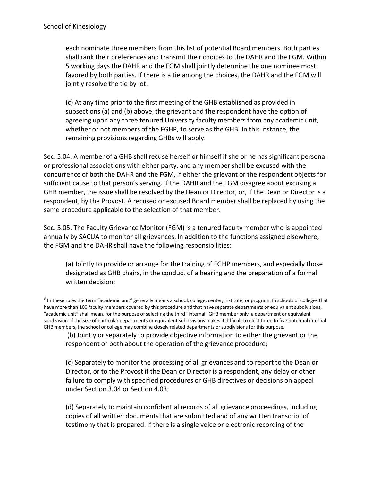each nominate three members from this list of potential Board members. Both parties shall rank their preferences and transmit their choices to the DAHR and the FGM. Within 5 working days the DAHR and the FGM shall jointly determine the one nominee most favored by both parties. If there is a tie among the choices, the DAHR and the FGM will jointly resolve the tie by lot.

(c) At any time prior to the first meeting of the GHB established as provided in subsections (a) and (b) above, the grievant and the respondent have the option of agreeing upon any three tenured University faculty members from any academic unit, whether or not members of the FGHP, to serve as the GHB. In this instance, the remaining provisions regarding GHBs will apply.

Sec. 5.04. A member of a GHB shall recuse herself or himself if she or he has significant personal or professional associations with either party, and any membershall be excused with the concurrence of both the DAHR and the FGM, if either the grievant or the respondent objects for sufficient cause to that person's serving. If the DAHR and the FGM disagree about excusing a GHB member, the issue shall be resolved by the Dean or Director, or, if the Dean or Director is a respondent, by the Provost. A recused or excused Board membershall be replaced by using the same procedure applicable to the selection of that member.

Sec. 5.05. The Faculty Grievance Monitor (FGM) is a tenured faculty member who is appointed annually by SACUA to monitor all grievances. In addition to the functions assigned elsewhere, the FGM and the DAHR shall have the following responsibilities:

(a) Jointly to provide or arrange for the training of FGHP members, and especially those designated as GHB chairs, in the conduct of a hearing and the preparation of a formal written decision;

(b) Jointly or separately to provide objective information to either the grievant or the respondent or both about the operation of the grievance procedure;

(c) Separately to monitor the processing of all grievances and to report to the Dean or Director, or to the Provost if the Dean or Director is a respondent, any delay or other failure to comply with specified procedures or GHB directives or decisions on appeal under Section 3.04 or Section 4.03;

(d) Separately to maintain confidential records of all grievance proceedings, including copies of all written documents that are submitted and of any written transcript of testimony that is prepared. If there is a single voice or electronic recording of the

<sup>&</sup>lt;sup>3</sup> In these rules the term "academic unit" generally means a school, college, center, institute, or program. In schools or colleges that have more than 100 faculty members covered by this procedure and that have separate departments or equivalent subdivisions, "academic unit" shall mean, for the purpose of selecting the third "internal" GHB member only, a department or equivalent subdivision. If the size of particular departments or equivalent subdivisions makes it difficult to elect three to five potential internal GHB members, the school or college may combine closely related departments or subdivisions for this purpose.